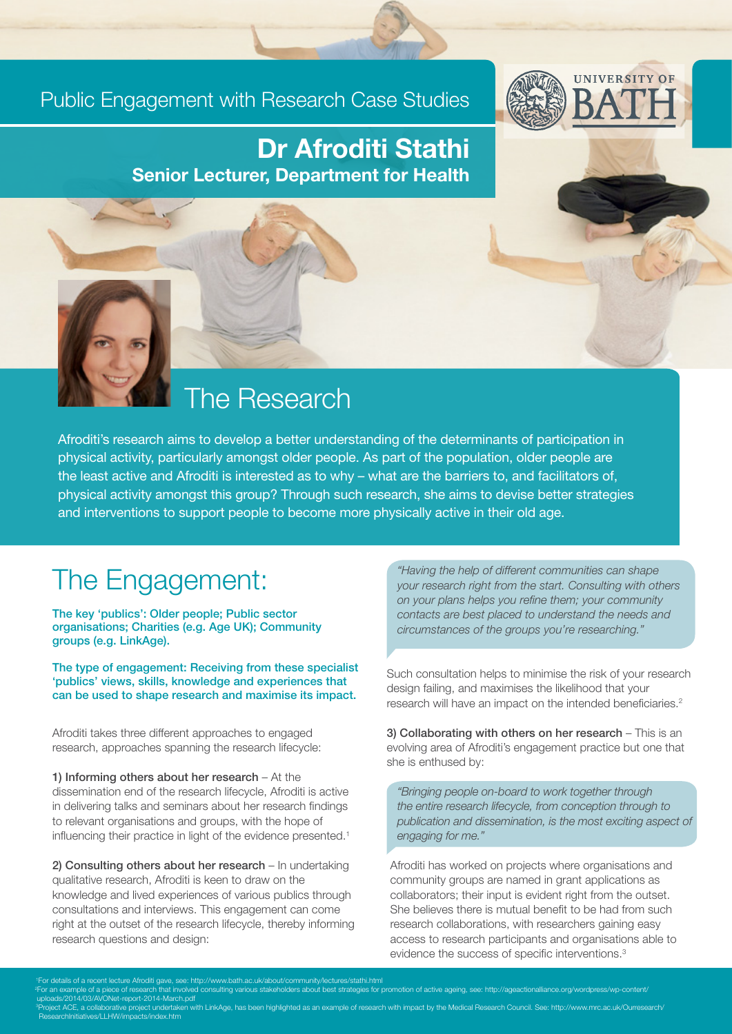#### Public Engagement with Research Case Studies



#### Dr Afroditi Stathi Senior Lecturer, Department for Health

## The Research

Afroditi's research aims to develop a better understanding of the determinants of participation in physical activity, particularly amongst older people. As part of the population, older people are the least active and Afroditi is interested as to why – what are the barriers to, and facilitators of, physical activity amongst this group? Through such research, she aims to devise better strategies and interventions to support people to become more physically active in their old age.

### The Engagement:

The key 'publics': Older people; Public sector organisations; Charities (e.g. Age UK); Community groups (e.g. LinkAge).

The type of engagement: Receiving from these specialist 'publics' views, skills, knowledge and experiences that can be used to shape research and maximise its impact.

Afroditi takes three different approaches to engaged research, approaches spanning the research lifecycle:

1) Informing others about her research – At the dissemination end of the research lifecycle, Afroditi is active in delivering talks and seminars about her research findings to relevant organisations and groups, with the hope of influencing their practice in light of the evidence presented.<sup>1</sup>

2) Consulting others about her research – In undertaking qualitative research, Afroditi is keen to draw on the knowledge and lived experiences of various publics through consultations and interviews. This engagement can come right at the outset of the research lifecycle, thereby informing research questions and design:

*"Having the help of different communities can shape your research right from the start. Consulting with others on your plans helps you refine them; your community contacts are best placed to understand the needs and circumstances of the groups you're researching."*

Such consultation helps to minimise the risk of your research design failing, and maximises the likelihood that your research will have an impact on the intended beneficiaries.<sup>2</sup>

3) Collaborating with others on her research – This is an evolving area of Afroditi's engagement practice but one that she is enthused by:

*"Bringing people on-board to work together through the entire research lifecycle, from conception through to publication and dissemination, is the most exciting aspect of engaging for me."*

Afroditi has worked on projects where organisations and community groups are named in grant applications as collaborators; their input is evident right from the outset. She believes there is mutual benefit to be had from such research collaborations, with researchers gaining easy access to research participants and organisations able to evidence the success of specific interventions.<sup>3</sup>

mple of a piece of research that involved consulting various stakeholders about best strategies for promotion of active ageing, see: http://ageactionalliance.org/wordpress/wp-content/ uploads/2014/03/AVONet-report-2014-March.pdf<br>®Project ACE, a collaborative project undertaken with LinkAge, has been highlighted as an example of research with impact by the Medical Research Council. See: http://www.mrc.ac atives/LLHW/impacts/index.htm

ent lecture Afroditi gave, see: http://www.bath.ac.uk/about/c